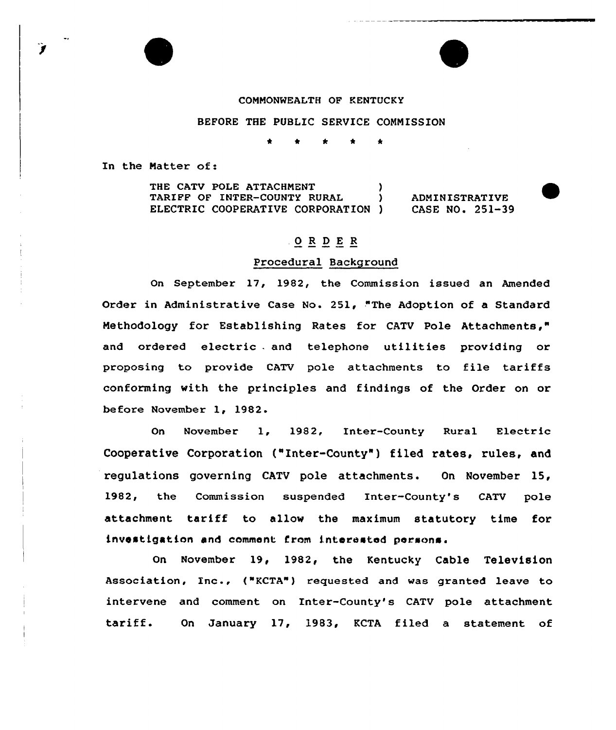#### COMMONREALTH OP KENTUCKY

## BEFORE THE PUBLIC SERVICE COMMISSION

In the Matter of:

Ì

THE CATV POLE ATTACHMENT (1997)<br>TARIFF OF INTER-COUNTY RURAL (1997) TARIFF OF INTER-COUNTY RURAL ELECTRIC COOPERATIVE CORPORATION ) ADMINISTRATIVE CASE NO. 251-39

# .OR DE <sup>R</sup>

### Procedur al Background

On September 17, 1982, the Commission issued an Amended Order in Administrative Case No. 251, "The Adoption of a Standard Methodology for Establishing Rates for CATV Pole Attachments," and ordered electric . and telephone utilities providing or proposing to provide CATV pole attachments to file tariffs conforming with the principles and findings of the Order on or before November 1, 1982.

On November 1, 1982, Enter-County Rural Electric Cooperative Corporation ("Inter-County" ) filed rates, rules, and regulations governing CATV pole attachments. On November 15, 1982, the Commission suspended Inter-County's CATV pole attachment tariff to allow the maximum statutory time for investigat ion and comment from interested persons.

On November 19< 1982, the Kentucky Cable Television Association, Inc., ("KCTA") requested and was granted leave to intervene and comment on Inter-County's CATV pole attachment tariff. On January 17, 1983, KCTA filed <sup>a</sup> statement of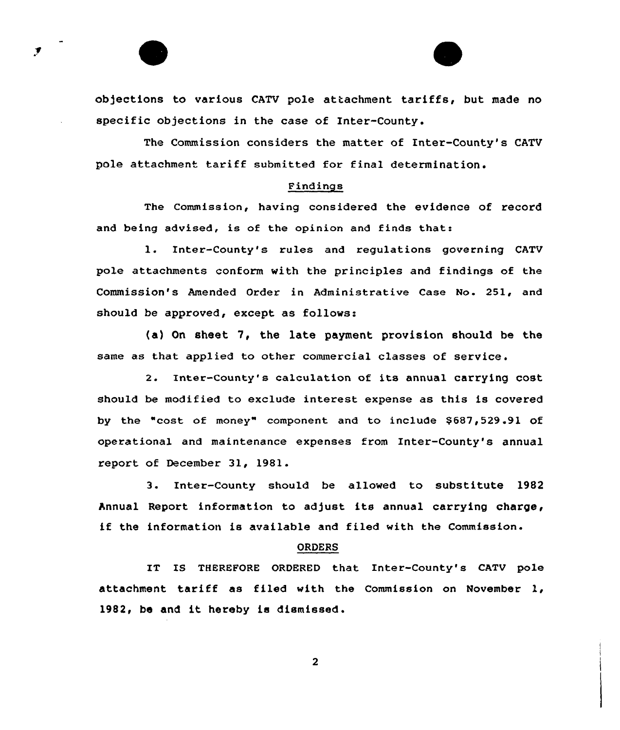obfections to various CATV pole attachment tariffs, but made no specific objections in the case of Inter-County.

The Commission considers the matter of Inter-County's CATV pole attachment tariff submitted for final determination.

### Findings

The commission, having considered the evidence of record and being advised, is of the opinion and finds that:

l. Inter-County's rules and regulations governing CATV pole attachments conform with the principles and findings of the Commission's Amended Order in Administrative Case No. 251, and should be approved, except as follows:

(a) On sheet 7, the late payment provision should be the same as that applied to other commercial classes of service.

2. Inter-County's calculation of its annual carrying cost should be modified to exclude interest expense as this is covered by the "cost of money" component and to include \$687,529.91 of operational and maintenance expenses from Inter-County'8 annual report of December 31, 1981.

3. Inter-County should be allowed to substitute 1982 Annual Report information to adjust its annual carrying charge, if the information is available and filed with the Commission.

#### ORDERS

IT IS THEREFORE ORDERED that Inter-County's CATV pole attachment tariff as filed with the Commission on November 1, 1982, be and it hereby is dismissed.

 $\overline{2}$